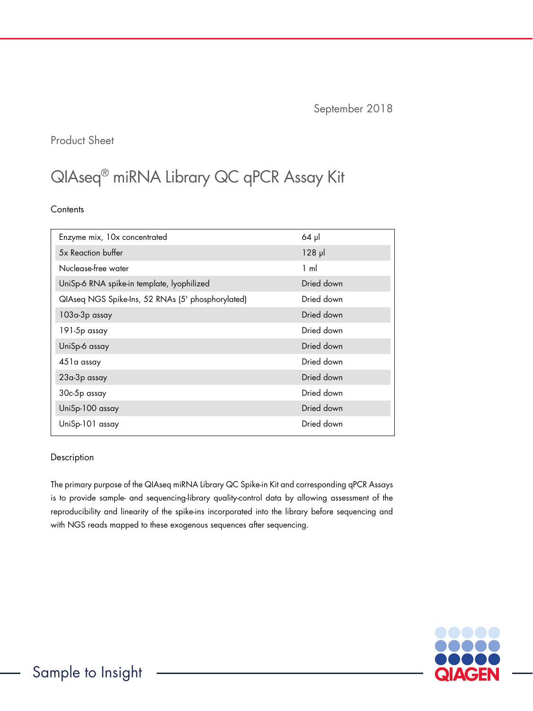September 2018

## Product Sheet

# QIAseq® miRNA Library QC qPCR Assay Kit

**Contents** 

| Enzyme mix, 10x concentrated                      | $64$ pl        |
|---------------------------------------------------|----------------|
| 5x Reaction buffer                                | $128$ $\mu$    |
| Nuclease-free water                               | $1 \text{ ml}$ |
| UniSp-6 RNA spike-in template, lyophilized        | Dried down     |
| QIAseq NGS Spike-Ins, 52 RNAs (5' phosphorylated) | Dried down     |
| 103a-3p assay                                     | Dried down     |
| 191-5p assay                                      | Dried down     |
| UniSp-6 assay                                     | Dried down     |
| 451a assay                                        | Dried down     |
| 23a-3p assay                                      | Dried down     |
| 30c-5p assay                                      | Dried down     |
| UniSp-100 assay                                   | Dried down     |
| UniSp-101 assay                                   | Dried down     |

#### Description

The primary purpose of the QIAseq miRNA Library QC Spike-in Kit and corresponding qPCR Assays is to provide sample- and sequencing-library quality-control data by allowing assessment of the reproducibility and linearity of the spike-ins incorporated into the library before sequencing and with NGS reads mapped to these exogenous sequences after sequencing.

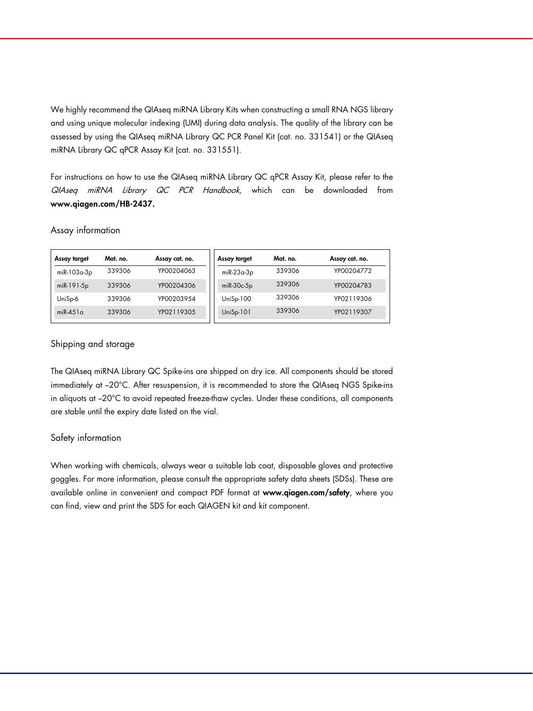We highly recommend the QIAseq miRNA Library Kits when constructing a small RNA NGS library and using unique molecular indexing (UMI) during data analysis. The quality of the library can be assessed by using the QIAseq miRNA Library QC PCR Panel Kit (cat. no. 331541) or the QIAseq miRNA Library QC qPCR Assay Kit (cat. no. 331551).

For instructions on how to use the QIAseq miRNA Library QC qPCR Assay Kit, please refer to the QIAseq miRNA Library QC PCR Handbook, which can be downloaded from <www.qiagen.com/HB-2437>.

#### Assay information

| Assay target | Mat. no. | Assay cat. no. | Assay target | Mat. no. | Assay cat. no. |
|--------------|----------|----------------|--------------|----------|----------------|
| miR-103a-3p  | 339306   | YP00204063     | $miR-23a-3p$ | 339306   | YP00204772     |
| miR-191-5p   | 339306   | YP00204306     | $mR-30c-5p$  | 339306   | YP00204783     |
| UniSp-6      | 339306   | YP00203954     | $UniSp-100$  | 339306   | YP02119306     |
| $miR-451a$   | 339306   | YP02119305     | $UniSp-101$  | 339306   | YP02119307     |
|              |          |                |              |          |                |

#### Shipping and storage

The QIAseq miRNA Library QC Spike-ins are shipped on dry ice. All components should be stored immediately at –20°C. After resuspension, it is recommended to store the QIAseq NGS Spike-ins in aliquots at –20°C to avoid repeated freeze-thaw cycles. Under these conditions, all components are stable until the expiry date listed on the vial.

#### Safety information

When working with chemicals, always wear a suitable lab coat, disposable gloves and protective goggles. For more information, please consult the appropriate safety data sheets (SDSs). These are available online in convenient and compact PDF format at www.qiagen.com/safety, where you can find, view and print the SDS for each QIAGEN kit and kit component.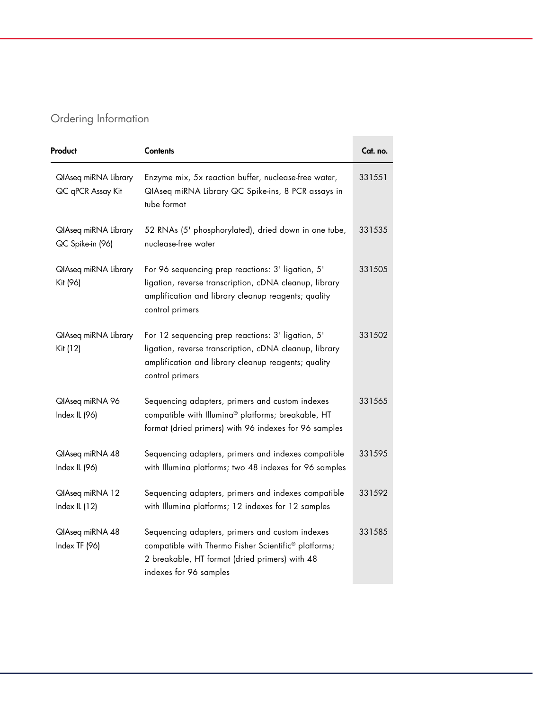# Ordering Information

| Product                                   | <b>Contents</b>                                                                                                                                                                       | Cat. no. |
|-------------------------------------------|---------------------------------------------------------------------------------------------------------------------------------------------------------------------------------------|----------|
| QlAseq miRNA Library<br>QC qPCR Assay Kit | Enzyme mix, 5x reaction buffer, nuclease-free water,<br>QIAseq miRNA Library QC Spike-ins, 8 PCR assays in<br>tube format                                                             | 331551   |
| QlAseq miRNA Library<br>QC Spike-in (96)  | 52 RNAs (5' phosphorylated), dried down in one tube,<br>nuclease-free water                                                                                                           | 331535   |
| QlAseq miRNA Library<br>Kit (96)          | For 96 sequencing prep reactions: 3' ligation, 5'<br>ligation, reverse transcription, cDNA cleanup, library<br>amplification and library cleanup reagents; quality<br>control primers | 331505   |
| QlAseq miRNA Library<br>Kit (12)          | For 12 sequencing prep reactions: 3' ligation, 5'<br>ligation, reverse transcription, cDNA cleanup, library<br>amplification and library cleanup reagents; quality<br>control primers | 331502   |
| QlAseq miRNA 96<br>Index IL (96)          | Sequencing adapters, primers and custom indexes<br>compatible with Illumina® platforms; breakable, HT<br>format (dried primers) with 96 indexes for 96 samples                        | 331565   |
| QlAseq miRNA 48<br>Index IL (96)          | Sequencing adapters, primers and indexes compatible<br>with Illumina platforms; two 48 indexes for 96 samples                                                                         | 331595   |
| QlAseq miRNA 12<br>Index IL (12)          | Sequencing adapters, primers and indexes compatible<br>with Illumina platforms; 12 indexes for 12 samples                                                                             | 331592   |
| QlAseq miRNA 48<br>Index TF (96)          | Sequencing adapters, primers and custom indexes<br>compatible with Thermo Fisher Scientific® platforms;<br>2 breakable, HT format (dried primers) with 48<br>indexes for 96 samples   | 331585   |